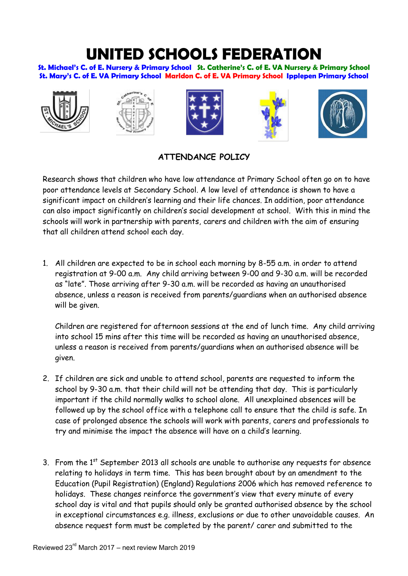## **UNITED SCHOOLS FEDERATION**

**St. Michael's C. of E. Nursery & Primary School St. Catherine's C. of E. VA Nursery & Primary School St. Mary's C. of E. VA Primary School Marldon C. of E. VA Primary School Ipplepen Primary School** 











## **ATTENDANCE POLICY**

Research shows that children who have low attendance at Primary School often go on to have poor attendance levels at Secondary School. A low level of attendance is shown to have a significant impact on children's learning and their life chances. In addition, poor attendance can also impact significantly on children's social development at school. With this in mind the schools will work in partnership with parents, carers and children with the aim of ensuring that all children attend school each day.

1. All children are expected to be in school each morning by 8-55 a.m. in order to attend registration at 9-00 a.m. Any child arriving between 9-00 and 9-30 a.m. will be recorded as "late". Those arriving after 9-30 a.m. will be recorded as having an unauthorised absence, unless a reason is received from parents/guardians when an authorised absence will be given.

Children are registered for afternoon sessions at the end of lunch time. Any child arriving into school 15 mins after this time will be recorded as having an unauthorised absence, unless a reason is received from parents/guardians when an authorised absence will be given.

- 2. If children are sick and unable to attend school, parents are requested to inform the school by 9-30 a.m. that their child will not be attending that day. This is particularly important if the child normally walks to school alone. All unexplained absences will be followed up by the school office with a telephone call to ensure that the child is safe. In case of prolonged absence the schools will work with parents, carers and professionals to try and minimise the impact the absence will have on a child's learning.
- 3. From the  $1<sup>st</sup>$  September 2013 all schools are unable to authorise any requests for absence relating to holidays in term time. This has been brought about by an amendment to the Education (Pupil Registration) (England) Regulations 2006 which has removed reference to holidays. These changes reinforce the government's view that every minute of every school day is vital and that pupils should only be granted authorised absence by the school in exceptional circumstances e.g. illness, exclusions or due to other unavoidable causes. An absence request form must be completed by the parent/ carer and submitted to the